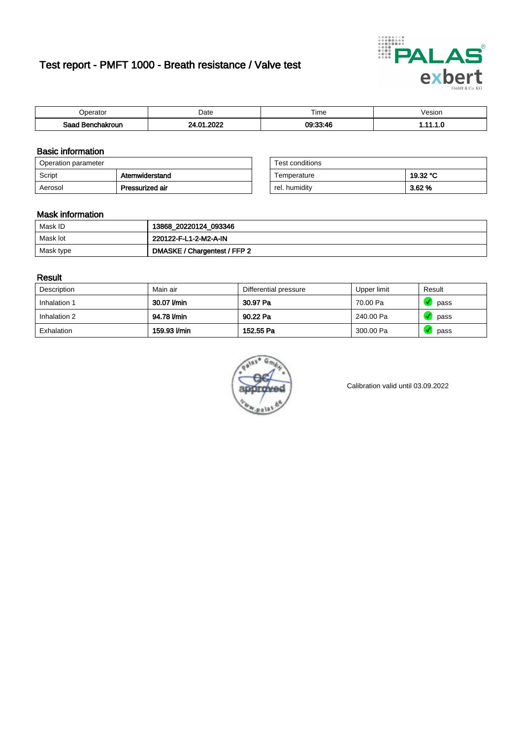# Test report - PMFT 1000 - Breath resistance / Valve test



| <b>'</b> perator              | Date      | $- \cdot$<br><b>Time</b> | /esion |
|-------------------------------|-----------|--------------------------|--------|
| Saad<br><b>ìchakroun</b><br>. | റററ<br>n. | $09.33 - 46$             | .      |

### Basic information

| Operation parameter |                 | Test conditions |          |
|---------------------|-----------------|-----------------|----------|
| Script              | Atemwiderstand  | Temperature     | 19.32 °C |
| Aerosol             | Pressurized air | rel. humidity   | 3.62 %   |

| Test conditions |          |
|-----------------|----------|
| Temperature     | 19.32 °C |
| rel. humidity   | 3.62%    |

#### Mask information

| Mask ID   | 13868_20220124_093346        |
|-----------|------------------------------|
| Mask lot  | 220122-F-L1-2-M2-A-IN        |
| Mask type | DMASKE / Chargentest / FFP 2 |

### Result

| Description  | Main air     | Differential pressure | Upper limit | Result |
|--------------|--------------|-----------------------|-------------|--------|
| Inhalation 1 | 30.07 l/min  | 30.97 Pa              | 70.00 Pa    | pass   |
| Inhalation 2 | 94.78 l/min  | 90.22 Pa              | 240.00 Pa   | pass   |
| Exhalation   | 159.93 l/min | 152.55 Pa             | 300.00 Pa   | pass   |



Calibration valid until 03.09.2022